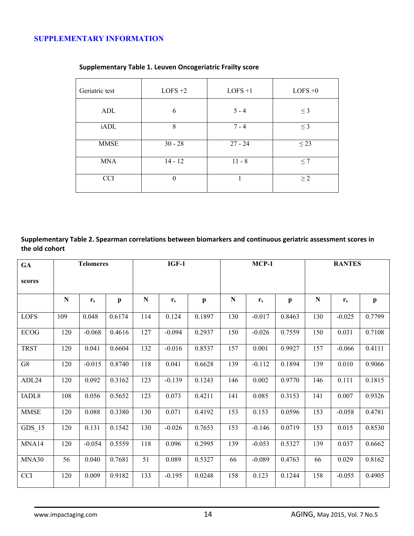## **SUPPLEMENTARY INFORMATION**

| Geriatric test | $LOFS +2$ | $LOFS +1$ | $LOFS +0$ |  |  |
|----------------|-----------|-----------|-----------|--|--|
| ADL            | 6         | $5 - 4$   | $\leq$ 3  |  |  |
| iADL           | 8         | $7 - 4$   | $\leq$ 3  |  |  |
| <b>MMSE</b>    | $30 - 28$ | $27 - 24$ | $\leq$ 23 |  |  |
| <b>MNA</b>     | $14 - 12$ | $11 - 8$  | $\leq 7$  |  |  |
| <b>CCI</b>     | $\theta$  |           | $\geq$ 2  |  |  |

## **Supplementary Table 1. Leuven Oncogeriatric Frailty score**

**Supplementary Table 2. Spearman correlations between biomarkers and continuous geriatric assessment scores in the old cohort**

| GA                | <b>Telomeres</b> |          | $IGF-1$      |           | $MCP-1$  |              |             | <b>RANTES</b> |              |           |                |              |
|-------------------|------------------|----------|--------------|-----------|----------|--------------|-------------|---------------|--------------|-----------|----------------|--------------|
| scores            |                  |          |              |           |          |              |             |               |              |           |                |              |
|                   | ${\bf N}$        | $r_{s}$  | $\mathbf{p}$ | ${\bf N}$ | $r_{s}$  | $\mathbf{p}$ | $\mathbf N$ | $r_{s}$       | $\mathbf{p}$ | ${\bf N}$ | $\mathbf{r}_s$ | $\mathbf{p}$ |
| <b>LOFS</b>       | 109              | 0.048    | 0.6174       | 114       | 0.124    | 0.1897       | 130         | $-0.017$      | 0.8463       | 130       | $-0.025$       | 0.7799       |
| <b>ECOG</b>       | 120              | $-0.068$ | 0.4616       | 127       | $-0.094$ | 0.2937       | 150         | $-0.026$      | 0.7559       | 150       | 0.031          | 0.7108       |
| <b>TRST</b>       | 120              | 0.041    | 0.6604       | 132       | $-0.016$ | 0.8537       | 157         | 0.001         | 0.9927       | 157       | $-0.066$       | 0.4111       |
| G8                | 120              | $-0.015$ | 0.8740       | 118       | 0.041    | 0.6628       | 139         | $-0.112$      | 0.1894       | 139       | 0.010          | 0.9066       |
| ADL24             | 120              | 0.092    | 0.3162       | 123       | $-0.139$ | 0.1243       | 146         | 0.002         | 0.9770       | 146       | 0.111          | 0.1815       |
| IADL <sub>8</sub> | 108              | 0.056    | 0.5652       | 123       | 0.073    | 0.4211       | 141         | 0.085         | 0.3153       | 141       | 0.007          | 0.9326       |
| <b>MMSE</b>       | 120              | 0.088    | 0.3380       | 130       | 0.071    | 0.4192       | 153         | 0.153         | 0.0596       | 153       | $-0.058$       | 0.4781       |
| $GDS_15$          | 120              | 0.131    | 0.1542       | 130       | $-0.026$ | 0.7653       | 153         | $-0.146$      | 0.0719       | 153       | 0.015          | 0.8530       |
| MNA14             | 120              | $-0.054$ | 0.5559       | 118       | 0.096    | 0.2995       | 139         | $-0.053$      | 0.5327       | 139       | 0.037          | 0.6662       |
| MNA30             | 56               | 0.040    | 0.7681       | 51        | 0.089    | 0.5327       | 66          | $-0.089$      | 0.4763       | 66        | 0.029          | 0.8162       |
| <b>CCI</b>        | 120              | 0.009    | 0.9182       | 133       | $-0.195$ | 0.0248       | 158         | 0.123         | 0.1244       | 158       | $-0.055$       | 0.4905       |